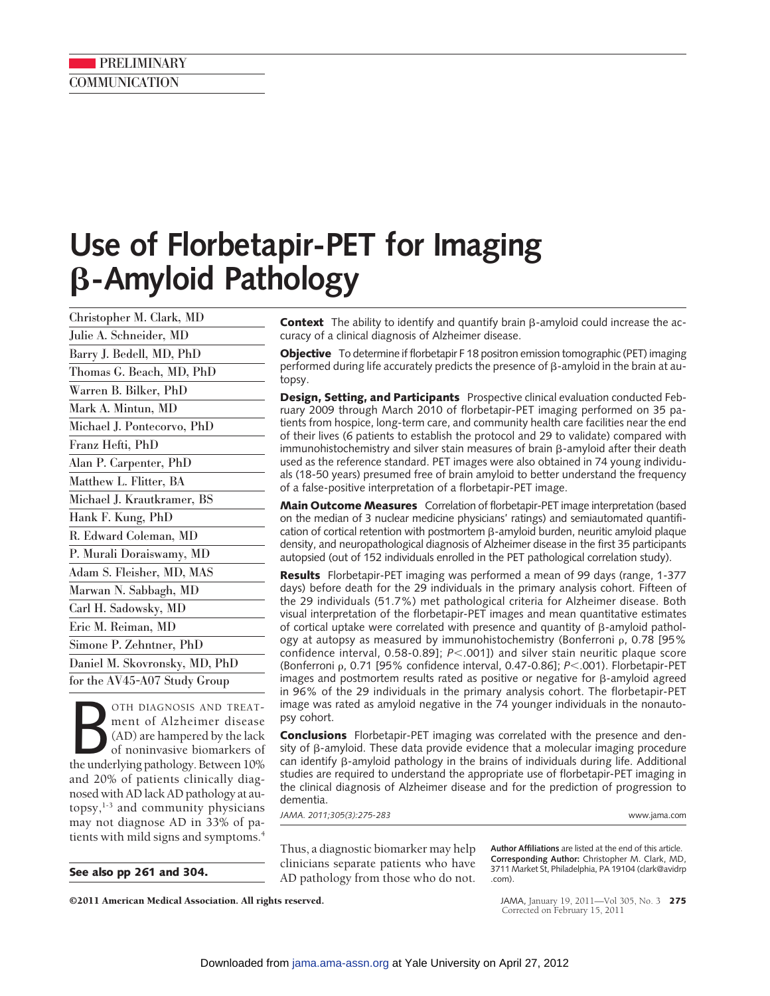## **PRELIMINARY COMMUNICATION**

# **Use of Florbetapir-PET for Imaging** -**-Amyloid Pathology**

Christopher M. Clark, MD Julie A. Schneider, MD Barry J. Bedell, MD, PhD Thomas G. Beach, MD, PhD Warren B. Bilker, PhD Mark A. Mintun, MD Michael J. Pontecorvo, PhD Franz Hefti, PhD Alan P. Carpenter, PhD Matthew L. Flitter, BA Michael J. Krautkramer, BS Hank F. Kung, PhD R. Edward Coleman, MD P. Murali Doraiswamy, MD Adam S. Fleisher, MD, MAS Marwan N. Sabbagh, MD Carl H. Sadowsky, MD Eric M. Reiman, MD Simone P. Zehntner, PhD Daniel M. Skovronsky, MD, PhD for the AV45-A07 Study Group

OTH DIAGNOSIS AND TREAT-<br>
ment of Alzheimer disease<br>
(AD) are hampered by the lack<br>
of noninvasive biomarkers of<br>
the underlying pathology. Between 10% OTH DIAGNOSIS AND TREATment of Alzheimer disease (AD) are hampered by the lack of noninvasive biomarkers of and 20% of patients clinically diagnosed with AD lack AD pathology at autopsy, $1-3$  and community physicians may not diagnose AD in 33% of patients with mild signs and symptoms.<sup>4</sup>

**Context** The ability to identify and quantify brain  $\beta$ -amyloid could increase the accuracy of a clinical diagnosis of Alzheimer disease.

**Objective** To determine if florbetapir F 18 positron emission tomographic (PET) imaging performed during life accurately predicts the presence of  $\beta$ -amyloid in the brain at autopsy.

**Design, Setting, and Participants** Prospective clinical evaluation conducted February 2009 through March 2010 of florbetapir-PET imaging performed on 35 patients from hospice, long-term care, and community health care facilities near the end of their lives (6 patients to establish the protocol and 29 to validate) compared with immunohistochemistry and silver stain measures of brain  $\beta$ -amyloid after their death used as the reference standard. PET images were also obtained in 74 young individuals (18-50 years) presumed free of brain amyloid to better understand the frequency of a false-positive interpretation of a florbetapir-PET image.

**Main Outcome Measures** Correlation of florbetapir-PET image interpretation (based on the median of 3 nuclear medicine physicians' ratings) and semiautomated quantification of cortical retention with postmortem ß-amyloid burden, neuritic amyloid plaque density, and neuropathological diagnosis of Alzheimer disease in the first 35 participants autopsied (out of 152 individuals enrolled in the PET pathological correlation study).

**Results** Florbetapir-PET imaging was performed a mean of 99 days (range, 1-377 days) before death for the 29 individuals in the primary analysis cohort. Fifteen of the 29 individuals (51.7%) met pathological criteria for Alzheimer disease. Both visual interpretation of the florbetapir-PET images and mean quantitative estimates of cortical uptake were correlated with presence and quantity of  $\beta$ -amyloid pathology at autopsy as measured by immunohistochemistry (Bonferroni  $\rho$ , 0.78 [95%] confidence interval, 0.58-0.89]; *P*.001]) and silver stain neuritic plaque score (Bonferroni ρ, 0.71 [95% confidence interval, 0.47-0.86]; *P*<.001). Florbetapir-PET images and postmortem results rated as positive or negative for  $\beta$ -amyloid agreed in 96% of the 29 individuals in the primary analysis cohort. The florbetapir-PET image was rated as amyloid negative in the 74 younger individuals in the nonautopsy cohort.

**Conclusions** Florbetapir-PET imaging was correlated with the presence and density of β-amyloid. These data provide evidence that a molecular imaging procedure can identify ß-amyloid pathology in the brains of individuals during life. Additional studies are required to understand the appropriate use of florbetapir-PET imaging in the clinical diagnosis of Alzheimer disease and for the prediction of progression to dementia.

*JAMA. 2011;305(3):275-283* www.jama.com

Thus, a diagnostic biomarker may help clinicians separate patients who have **See also pp 261 and 304.** AD pathology from those who do not.

**Author Affiliations** are listed at the end of this article. **Corresponding Author:** Christopher M. Clark, MD, 3711 Market St, Philadelphia, PA 19104 (clark@avidrp .com).

©2011 American Medical Association. All rights reserved. JAMA, January 19, 2011—Vol 305, No. 3 **275**

Corrected on February 15, 2011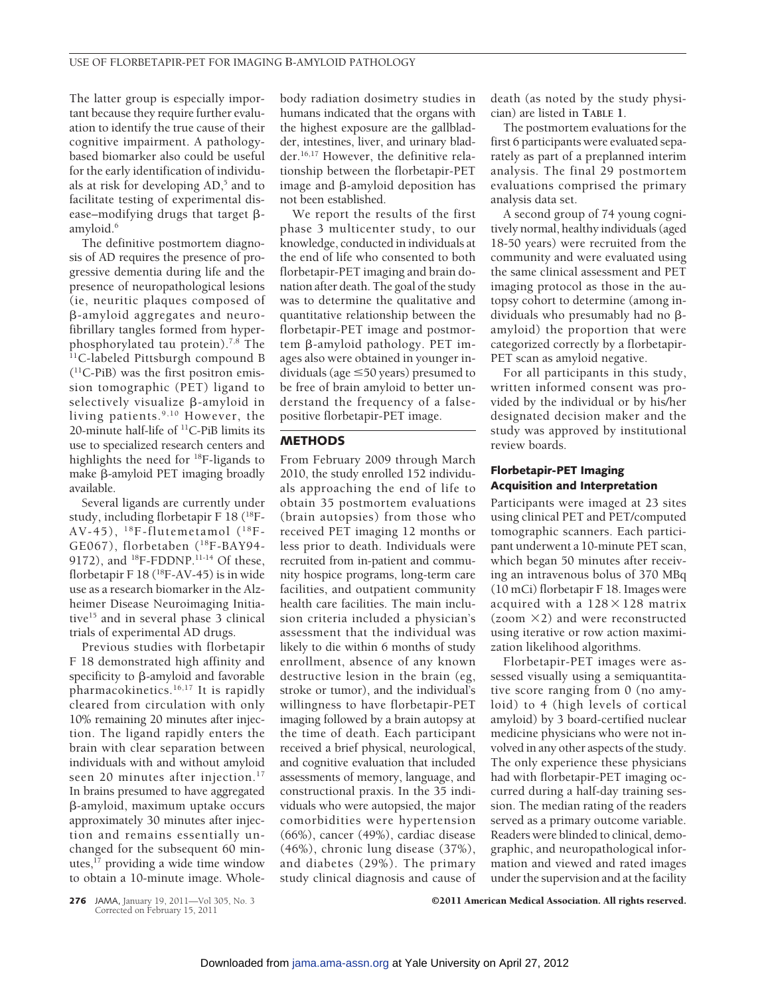The latter group is especially important because they require further evaluation to identify the true cause of their cognitive impairment. A pathologybased biomarker also could be useful for the early identification of individuals at risk for developing  $AD$ ,<sup>5</sup> and to facilitate testing of experimental disease-modifying drugs that target  $\beta$ amyloid.<sup>6</sup>

The definitive postmortem diagnosis of AD requires the presence of progressive dementia during life and the presence of neuropathological lesions (ie, neuritic plaques composed of --amyloid aggregates and neurofibrillary tangles formed from hyperphosphorylated tau protein).7,8 The <sup>11</sup>C-labeled Pittsburgh compound B (11C-PiB) was the first positron emission tomographic (PET) ligand to selectively visualize β-amyloid in living patients.9,10 However, the 20-minute half-life of <sup>11</sup>C-PiB limits its use to specialized research centers and highlights the need for 18F-ligands to make  $\beta$ -amyloid PET imaging broadly available.

Several ligands are currently under study, including florbetapir F 18 (18F-AV-45),  $^{18}$ F-flutemetamol ( $^{18}$ F-GE067), florbetaben (18F-BAY94- 9172), and  $^{18}F$ -FDDNP.<sup>11-14</sup> Of these, florbetapir F 18 ( $^{18}$ F-AV-45) is in wide use as a research biomarker in the Alzheimer Disease Neuroimaging Initiative<sup>15</sup> and in several phase 3 clinical trials of experimental AD drugs.

Previous studies with florbetapir F 18 demonstrated high affinity and specificity to  $\beta$ -amyloid and favorable pharmacokinetics.<sup>16,17</sup> It is rapidly cleared from circulation with only 10% remaining 20 minutes after injection. The ligand rapidly enters the brain with clear separation between individuals with and without amyloid seen 20 minutes after injection.<sup>17</sup> In brains presumed to have aggregated --amyloid, maximum uptake occurs approximately 30 minutes after injection and remains essentially unchanged for the subsequent 60 minutes,<sup>17</sup> providing a wide time window to obtain a 10-minute image. Wholebody radiation dosimetry studies in humans indicated that the organs with the highest exposure are the gallbladder, intestines, liver, and urinary bladder.16,17 However, the definitive relationship between the florbetapir-PET image and  $\beta$ -amyloid deposition has not been established.

We report the results of the first phase 3 multicenter study, to our knowledge, conducted in individuals at the end of life who consented to both florbetapir-PET imaging and brain donation after death. The goal of the study was to determine the qualitative and quantitative relationship between the florbetapir-PET image and postmortem ß-amyloid pathology. PET images also were obtained in younger individuals (age  $\leq$  50 years) presumed to be free of brain amyloid to better understand the frequency of a falsepositive florbetapir-PET image.

#### **METHODS**

From February 2009 through March 2010, the study enrolled 152 individuals approaching the end of life to obtain 35 postmortem evaluations (brain autopsies) from those who received PET imaging 12 months or less prior to death. Individuals were recruited from in-patient and community hospice programs, long-term care facilities, and outpatient community health care facilities. The main inclusion criteria included a physician's assessment that the individual was likely to die within 6 months of study enrollment, absence of any known destructive lesion in the brain (eg, stroke or tumor), and the individual's willingness to have florbetapir-PET imaging followed by a brain autopsy at the time of death. Each participant received a brief physical, neurological, and cognitive evaluation that included assessments of memory, language, and constructional praxis. In the 35 individuals who were autopsied, the major comorbidities were hypertension (66%), cancer (49%), cardiac disease (46%), chronic lung disease (37%), and diabetes (29%). The primary study clinical diagnosis and cause of

death (as noted by the study physician) are listed in **TABLE 1**.

The postmortem evaluations for the first 6 participants were evaluated separately as part of a preplanned interim analysis. The final 29 postmortem evaluations comprised the primary analysis data set.

A second group of 74 young cognitively normal, healthy individuals (aged 18-50 years) were recruited from the community and were evaluated using the same clinical assessment and PET imaging protocol as those in the autopsy cohort to determine (among individuals who presumably had no  $\beta$ amyloid) the proportion that were categorized correctly by a florbetapir-PET scan as amyloid negative.

For all participants in this study, written informed consent was provided by the individual or by his/her designated decision maker and the study was approved by institutional review boards.

## **Florbetapir-PET Imaging Acquisition and Interpretation**

Participants were imaged at 23 sites using clinical PET and PET/computed tomographic scanners. Each participant underwent a 10-minute PET scan, which began 50 minutes after receiving an intravenous bolus of 370 MBq (10 mCi) florbetapir F 18. Images were acquired with a  $128 \times 128$  matrix (zoom  $\times$ 2) and were reconstructed using iterative or row action maximization likelihood algorithms.

Florbetapir-PET images were assessed visually using a semiquantitative score ranging from 0 (no amyloid) to 4 (high levels of cortical amyloid) by 3 board-certified nuclear medicine physicians who were not involved in any other aspects of the study. The only experience these physicians had with florbetapir-PET imaging occurred during a half-day training session. The median rating of the readers served as a primary outcome variable. Readers were blinded to clinical, demographic, and neuropathological information and viewed and rated images under the supervision and at the facility

**276** JAMA, January 19, 2011—Vol 305, No. 3 **C2011 American Medical Association. All rights reserved.** 

Corrected on February 15, 2011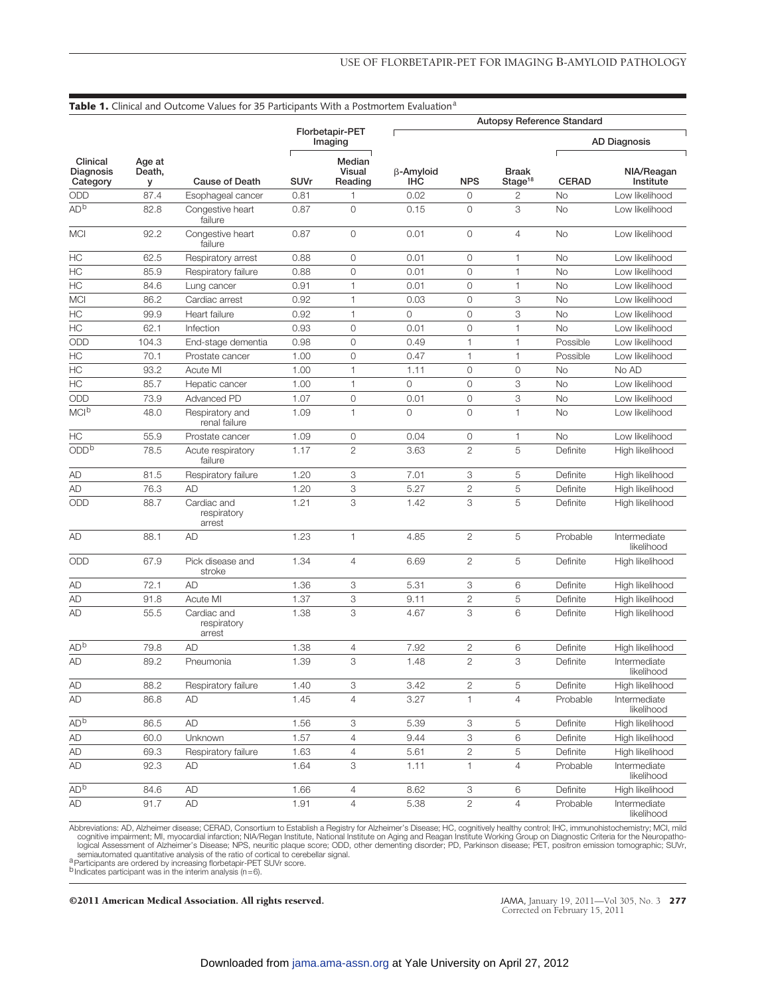| Clinical<br>Diagnosis<br>Category | Age at<br>Death,<br>У | Cause of Death                       |                            |                                    | <b>Autopsy Reference Standard</b> |                |                                     |                     |                            |
|-----------------------------------|-----------------------|--------------------------------------|----------------------------|------------------------------------|-----------------------------------|----------------|-------------------------------------|---------------------|----------------------------|
|                                   |                       |                                      | Florbetapir-PET<br>Imaging |                                    |                                   |                |                                     | <b>AD Diagnosis</b> |                            |
|                                   |                       |                                      | SUVr                       | Median<br><b>Visual</b><br>Reading | β-Amyloid<br><b>IHC</b>           | <b>NPS</b>     | <b>Braak</b><br>Stage <sup>18</sup> | <b>CERAD</b>        | NIA/Reagan<br>Institute    |
| ODD                               | 87.4                  | Esophageal cancer                    | 0.81                       | 1                                  | 0.02                              | 0              | 2                                   | No                  | Low likelihood             |
| AD <sup>b</sup>                   | 82.8                  | Congestive heart<br>failure          | 0.87                       | $\circ$                            | 0.15                              | 0              | 3                                   | No                  | Low likelihood             |
| <b>MCI</b>                        | 92.2                  | Congestive heart<br>failure          | 0.87                       | 0                                  | 0.01                              | 0              | $\overline{4}$                      | <b>No</b>           | Low likelihood             |
| НC                                | 62.5                  | Respiratory arrest                   | 0.88                       | 0                                  | 0.01                              | 0              | 1                                   | No                  | Low likelihood             |
| HC                                | 85.9                  | Respiratory failure                  | 0.88                       | 0                                  | 0.01                              | 0              | $\mathbf{1}$                        | <b>No</b>           | Low likelihood             |
| HC                                | 84.6                  | Lung cancer                          | 0.91                       | 1                                  | 0.01                              | 0              | $\mathbf{1}$                        | <b>No</b>           | Low likelihood             |
| <b>MCI</b>                        | 86.2                  | Cardiac arrest                       | 0.92                       | 1                                  | 0.03                              | 0              | 3                                   | <b>No</b>           | Low likelihood             |
| HC                                | 99.9                  | Heart failure                        | 0.92                       | 1                                  | 0                                 | 0              | 3                                   | <b>No</b>           | Low likelihood             |
| HC                                | 62.1                  | Infection                            | 0.93                       | 0                                  | 0.01                              | 0              | $\mathbf{1}$                        | <b>No</b>           | Low likelihood             |
| ODD                               | 104.3                 | End-stage dementia                   | 0.98                       | 0                                  | 0.49                              | 1              | 1                                   | Possible            | Low likelihood             |
| HC                                | 70.1                  | Prostate cancer                      | 1.00                       | 0                                  | 0.47                              | 1              | 1                                   | Possible            | Low likelihood             |
| HC                                | 93.2                  | Acute MI                             | 1.00                       | 1                                  | 1.11                              | 0              | $\circ$                             | No                  | No AD                      |
| HC                                | 85.7                  | Hepatic cancer                       | 1.00                       | 1                                  | $\circ$                           | 0              | 3                                   | <b>No</b>           | Low likelihood             |
| ODD                               | 73.9                  | Advanced PD                          | 1.07                       | 0                                  | 0.01                              | 0              | 3                                   | No                  | Low likelihood             |
| MCI <sup>b</sup>                  | 48.0                  | Respiratory and<br>renal failure     | 1.09                       | 1                                  | $\circ$                           | 0              | $\mathbf{1}$                        | No                  | Low likelihood             |
| HC                                | 55.9                  | Prostate cancer                      | 1.09                       | 0                                  | 0.04                              | 0              | $\mathbf{1}$                        | <b>No</b>           | Low likelihood             |
| ODD <sup>b</sup>                  | 78.5                  | Acute respiratory<br>failure         | 1.17                       | $\overline{c}$                     | 3.63                              | 2              | 5                                   | Definite            | High likelihood            |
| AD                                | 81.5                  | Respiratory failure                  | 1.20                       | 3                                  | 7.01                              | 3              | 5                                   | Definite            | High likelihood            |
| AD                                | 76.3                  | <b>AD</b>                            | 1.20                       | 3                                  | 5.27                              | $\overline{c}$ | 5                                   | Definite            | High likelihood            |
| ODD                               | 88.7                  | Cardiac and<br>respiratory<br>arrest | 1.21                       | 3                                  | 1.42                              | 3              | 5                                   | Definite            | High likelihood            |
| AD                                | 88.1                  | AD                                   | 1.23                       | 1                                  | 4.85                              | $\overline{c}$ | 5                                   | Probable            | Intermediate<br>likelihood |
| ODD                               | 67.9                  | Pick disease and<br>stroke           | 1.34                       | 4                                  | 6.69                              | $\overline{c}$ | 5                                   | Definite            | High likelihood            |
| AD                                | 72.1                  | <b>AD</b>                            | 1.36                       | 3                                  | 5.31                              | 3              | 6                                   | Definite            | High likelihood            |
| AD                                | 91.8                  | Acute MI                             | 1.37                       | 3                                  | 9.11                              | 2              | 5                                   | Definite            | High likelihood            |
| AD                                | 55.5                  | Cardiac and<br>respiratory<br>arrest | 1.38                       | 3                                  | 4.67                              | 3              | 6                                   | Definite            | High likelihood            |
| AD <sup>b</sup>                   | 79.8                  | <b>AD</b>                            | 1.38                       | 4                                  | 7.92                              | 2              | 6                                   | Definite            | High likelihood            |
| AD                                | 89.2                  | Pneumonia                            | 1.39                       | 3                                  | 1.48                              | $\overline{2}$ | 3                                   | Definite            | Intermediate<br>likelihood |
| AD                                | 88.2                  | Respiratory failure                  | 1.40                       | 3                                  | 3.42                              | 2              | 5                                   | Definite            | High likelihood            |
| AD                                | 86.8                  | AD                                   | 1.45                       | 4                                  | 3.27                              | 1              | $\overline{4}$                      | Probable            | Intermediate<br>likelihood |
| AD <sup>b</sup>                   | 86.5                  | <b>AD</b>                            | 1.56                       | 3                                  | 5.39                              | 3              | 5                                   | Definite            | High likelihood            |
| <b>AD</b>                         | 60.0                  | Unknown                              | 1.57                       | 4                                  | 9.44                              | 3              | 6                                   | Definite            | High likelihood            |
| AD                                | 69.3                  | Respiratory failure                  | 1.63                       | 4                                  | 5.61                              | 2              | 5                                   | Definite            | High likelihood            |
| <b>AD</b>                         | 92.3                  | AD                                   | 1.64                       | 3                                  | 1.11                              | 1              | 4                                   | Probable            | Intermediate<br>likelihood |
| AD <sup>b</sup>                   | 84.6                  | <b>AD</b>                            | 1.66                       | $\overline{4}$                     | 8.62                              | 3              | 6                                   | Definite            | High likelihood            |
| <b>AD</b>                         | 91.7                  | AD                                   | 1.91                       | $\overline{4}$                     | 5.38                              | $\overline{c}$ | $\overline{4}$                      | Probable            | Intermediate<br>likelihood |

Abbreviations: AD, Alzheimer disease; CERAD, Consortium to Establish a Registry for Alzheimer's Disease; HC, cognitively healthy control; IHC, immunohistochemistry; MCI, mild<br>cognitive impairment; MI, myocardial infarction

©2011 American Medical Association. All rights reserved.

JAMA, January 19, 2011—Vol 305, No. 3 277<br>Corrected on February 15, 2011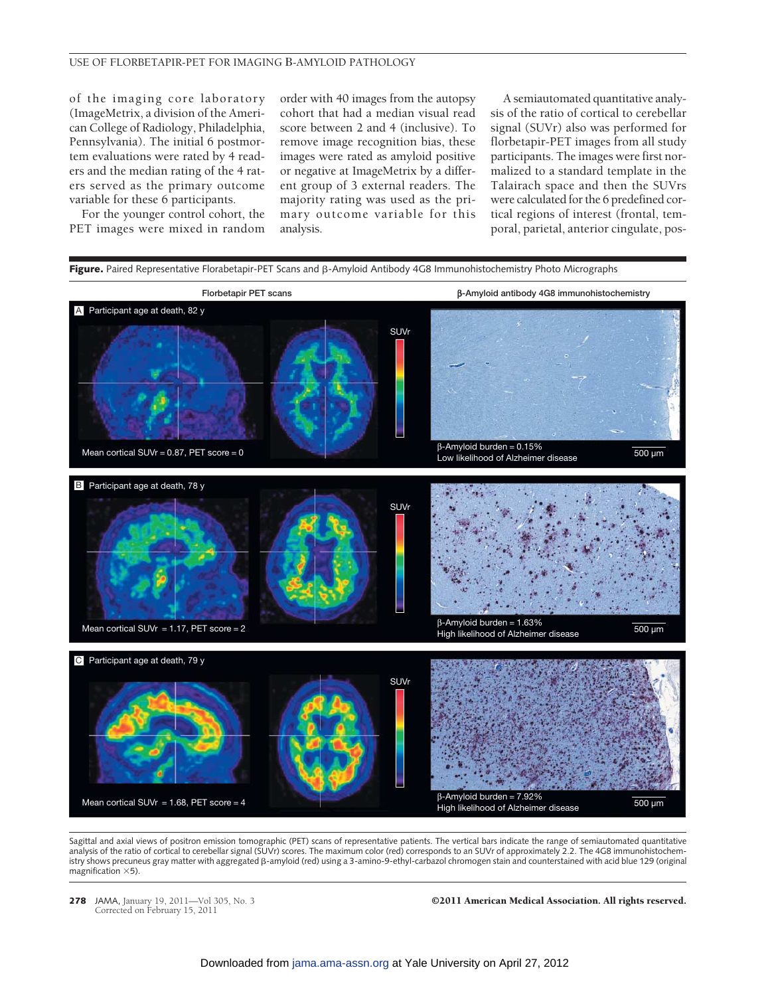#### USE OF FLORBETAPIR-PET FOR IMAGING B-AMYLOID PATHOLOGY

of the imaging core laboratory (ImageMetrix, a division of the American College of Radiology, Philadelphia, Pennsylvania). The initial 6 postmortem evaluations were rated by 4 readers and the median rating of the 4 raters served as the primary outcome variable for these 6 participants.

For the younger control cohort, the PET images were mixed in random order with 40 images from the autopsy cohort that had a median visual read score between 2 and 4 (inclusive). To remove image recognition bias, these images were rated as amyloid positive or negative at ImageMetrix by a different group of 3 external readers. The majority rating was used as the primary outcome variable for this analysis.

A semiautomated quantitative analysis of the ratio of cortical to cerebellar signal (SUVr) also was performed for florbetapir-PET images from all study participants. The images were first normalized to a standard template in the Talairach space and then the SUVrs were calculated for the 6 predefined cortical regions of interest (frontal, temporal, parietal, anterior cingulate, pos-



Sagittal and axial views of positron emission tomographic (PET) scans of representative patients. The vertical bars indicate the range of semiautomated quantitative analysis of the ratio of cortical to cerebellar signal (SUVr) scores. The maximum color (red) corresponds to an SUVr of approximately 2.2. The 4G8 immunohistochemistry shows precuneus gray matter with aggregated β-amyloid (red) using a 3-amino-9-ethyl-carbazol chromogen stain and counterstained with acid blue 129 (original magnification  $\times$ 5).

Corrected on February 15, 2011

**278** JAMA, January 19, 2011—Vol 305, No. 3 **C2011 American Medical Association. All rights reserved.**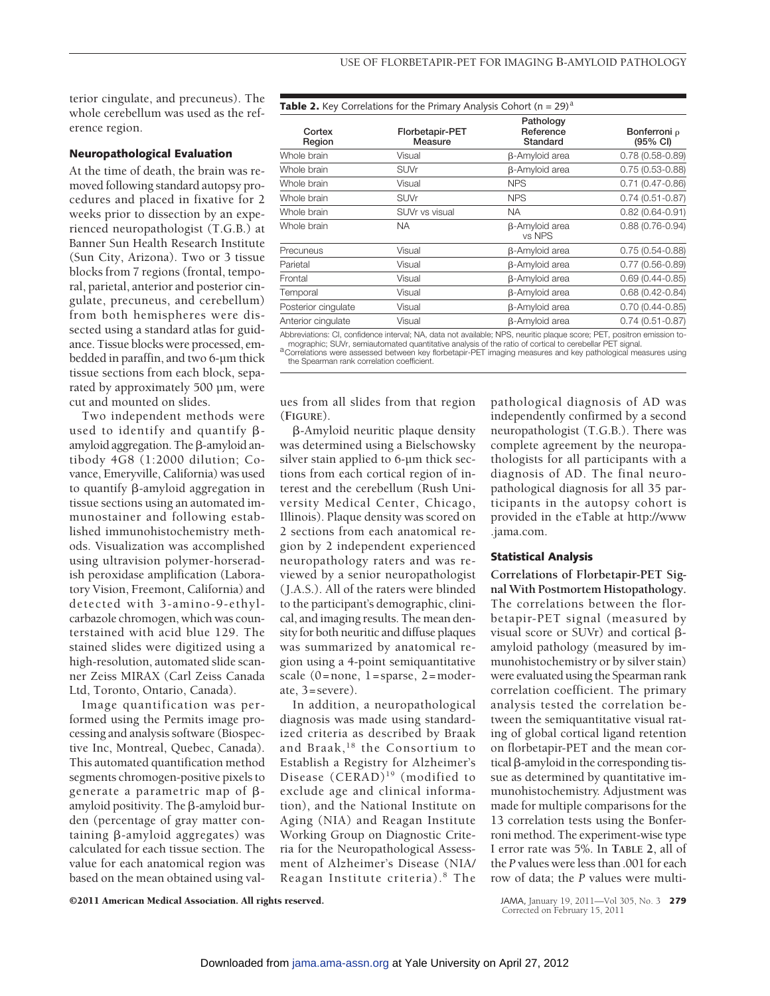terior cingulate, and precuneus). The whole cerebellum was used as the reference region.

### **Neuropathological Evaluation**

At the time of death, the brain was removed following standard autopsy procedures and placed in fixative for 2 weeks prior to dissection by an experienced neuropathologist (T.G.B.) at Banner Sun Health Research Institute (Sun City, Arizona). Two or 3 tissue blocks from 7 regions (frontal, temporal, parietal, anterior and posterior cingulate, precuneus, and cerebellum) from both hemispheres were dissected using a standard atlas for guidance. Tissue blocks were processed, embedded in paraffin, and two 6-µm thick tissue sections from each block, separated by approximately 500 µm, were cut and mounted on slides.

Two independent methods were used to identify and quantify  $\beta$ amyloid aggregation. The  $\beta$ -amyloid antibody 4G8 (1:2000 dilution; Covance, Emeryville, California) was used to quantify  $\beta$ -amyloid aggregation in tissue sections using an automated immunostainer and following established immunohistochemistry methods. Visualization was accomplished using ultravision polymer-horseradish peroxidase amplification (Laboratory Vision, Freemont, California) and detected with 3-amino-9-ethylcarbazole chromogen, which was counterstained with acid blue 129. The stained slides were digitized using a high-resolution, automated slide scanner Zeiss MIRAX (Carl Zeiss Canada Ltd, Toronto, Ontario, Canada).

Image quantification was performed using the Permits image processing and analysis software (Biospective Inc, Montreal, Quebec, Canada). This automated quantification method segments chromogen-positive pixels to generate a parametric map of  $\beta$ amyloid positivity. The  $\beta$ -amyloid burden (percentage of gray matter containing  $\beta$ -amyloid aggregates) was calculated for each tissue section. The value for each anatomical region was based on the mean obtained using val**Table 2.** Key Correlations for the Primary Analysis Cohort ( $n = 29$ )<sup>a</sup>

| Cortex<br>Region    | Florbetapir-PET<br>Measure                                                                                                                                                                                                     | Pathology<br>Reference<br>Standard | Bonferroni p<br>(95% CI) |
|---------------------|--------------------------------------------------------------------------------------------------------------------------------------------------------------------------------------------------------------------------------|------------------------------------|--------------------------|
| Whole brain         | Visual                                                                                                                                                                                                                         | <b>B-Amyloid area</b>              | $0.78(0.58 - 0.89)$      |
| Whole brain         | <b>SUVr</b>                                                                                                                                                                                                                    | <b>B-Amyloid area</b>              | $0.75(0.53 - 0.88)$      |
| Whole brain         | Visual                                                                                                                                                                                                                         | <b>NPS</b>                         | $0.71(0.47 - 0.86)$      |
| Whole brain         | <b>SUVr</b>                                                                                                                                                                                                                    | <b>NPS</b>                         | $0.74(0.51 - 0.87)$      |
| Whole brain         | SUVr vs visual                                                                                                                                                                                                                 | NA.                                | $0.82(0.64 - 0.91)$      |
| Whole brain         | <b>NA</b>                                                                                                                                                                                                                      | <b>B-Amyloid area</b><br>vs NPS    | $0.88(0.76 - 0.94)$      |
| Precuneus           | Visual                                                                                                                                                                                                                         | <b>B-Amyloid area</b>              | $0.75(0.54 - 0.88)$      |
| Parietal            | Visual                                                                                                                                                                                                                         | <b>B-Amyloid area</b>              | $0.77(0.56 - 0.89)$      |
| Frontal             | Visual                                                                                                                                                                                                                         | <b>B-Amyloid area</b>              | $0.69(0.44 - 0.85)$      |
| Temporal            | Visual                                                                                                                                                                                                                         | <b>B-Amyloid area</b>              | $0.68(0.42 - 0.84)$      |
| Posterior cinqulate | Visual                                                                                                                                                                                                                         | <b>B-Amyloid area</b>              | $0.70(0.44 - 0.85)$      |
| Anterior cingulate  | Visual                                                                                                                                                                                                                         | <b>B-Amyloid area</b>              | $0.74(0.51 - 0.87)$      |
|                     | At the offer the total and the second the second the second the second the second the second the second the second second the second terms of the second second the second second the second second that the second second the |                                    |                          |

Abbreviations: CI, confidence interval; NA, data not available; NPS, neuritic plaque score; PET, positron emission to-<br>mographic; SUVr, semiautomated quantitative analysis of the ratio of cortical to cerebellar PET signal.

a Correlations were assessed between key florbetapir-PET imaging measures and key pathological measures using the Spearman rank correlation coefficient.

ues from all slides from that region (**FIGURE**).

--Amyloid neuritic plaque density was determined using a Bielschowsky silver stain applied to 6-µm thick sections from each cortical region of interest and the cerebellum (Rush University Medical Center, Chicago, Illinois). Plaque density was scored on 2 sections from each anatomical region by 2 independent experienced neuropathology raters and was reviewed by a senior neuropathologist ( J.A.S.). All of the raters were blinded to the participant's demographic, clinical, and imaging results. The mean density for both neuritic and diffuse plaques was summarized by anatomical region using a 4-point semiquantitative scale (0=none, 1= sparse, 2=moderate, 3= severe).

In addition, a neuropathological diagnosis was made using standardized criteria as described by Braak and Braak,<sup>18</sup> the Consortium to Establish a Registry for Alzheimer's Disease  $(CERAD)^{19}$  (modified to exclude age and clinical information), and the National Institute on Aging (NIA) and Reagan Institute Working Group on Diagnostic Criteria for the Neuropathological Assessment of Alzheimer's Disease (NIA/ Reagan Institute criteria). <sup>8</sup> The

pathological diagnosis of AD was independently confirmed by a second neuropathologist (T.G.B.). There was complete agreement by the neuropathologists for all participants with a diagnosis of AD. The final neuropathological diagnosis for all 35 participants in the autopsy cohort is provided in the eTable at http://www .jama.com.

#### **Statistical Analysis**

**Correlations of Florbetapir-PET Signal With Postmortem Histopathology.** The correlations between the florbetapir-PET signal (measured by visual score or SUVr) and cortical  $\beta$ amyloid pathology (measured by immunohistochemistry or by silver stain) were evaluated using the Spearman rank correlation coefficient. The primary analysis tested the correlation between the semiquantitative visual rating of global cortical ligand retention on florbetapir-PET and the mean cortical  $\beta$ -amyloid in the corresponding tissue as determined by quantitative immunohistochemistry. Adjustment was made for multiple comparisons for the 13 correlation tests using the Bonferroni method. The experiment-wise type I error rate was 5%. In **TABLE 2**, all of the *P* values were less than .001 for each row of data; the *P* values were multi-

©2011 American Medical Association. All rights reserved. JAMA, January 19, 2011—Vol 305, No. 3 **279**

Corrected on February 15, 2011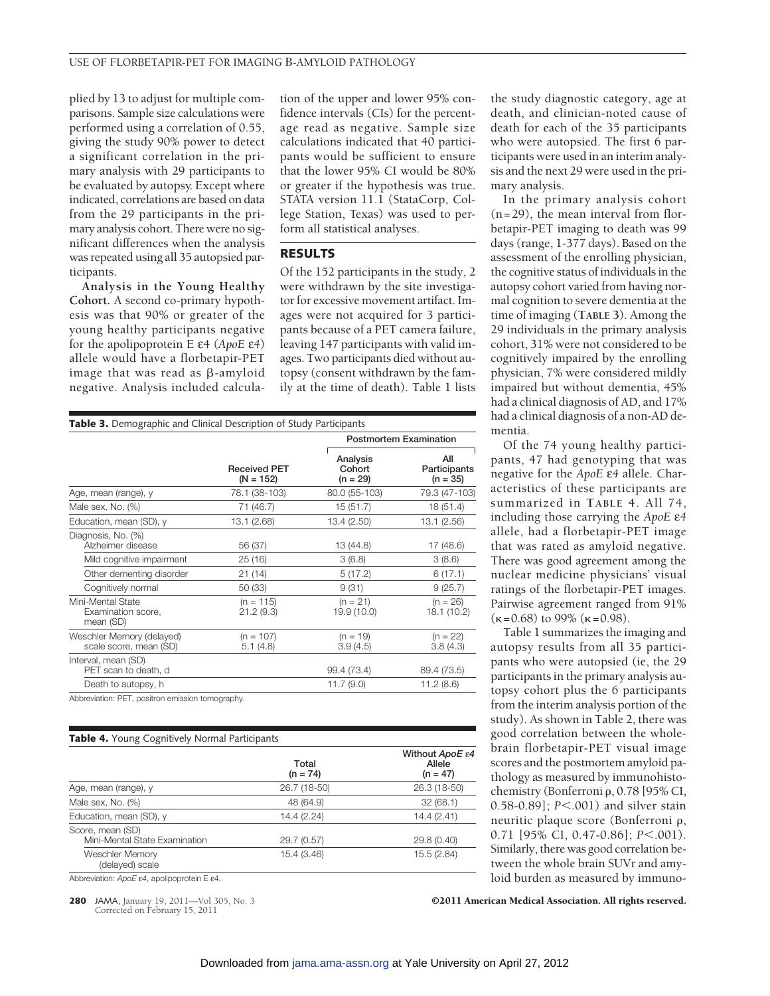plied by 13 to adjust for multiple comparisons. Sample size calculations were performed using a correlation of 0.55, giving the study 90% power to detect a significant correlation in the primary analysis with 29 participants to be evaluated by autopsy. Except where indicated, correlations are based on data from the 29 participants in the primary analysis cohort. There were no significant differences when the analysis was repeated using all 35 autopsied participants.

**Analysis in the Young Healthy Cohort.** A second co-primary hypothesis was that 90% or greater of the young healthy participants negative for the apolipoprotein E ε4 (*ApoE* ε*4*) allele would have a florbetapir-PET image that was read as  $\beta$ -amyloid negative. Analysis included calculation of the upper and lower 95% confidence intervals (CIs) for the percentage read as negative. Sample size calculations indicated that 40 participants would be sufficient to ensure that the lower 95% CI would be 80% or greater if the hypothesis was true. STATA version 11.1 (StataCorp, College Station, Texas) was used to perform all statistical analyses.

## **RESULTS**

Of the 152 participants in the study, 2 were withdrawn by the site investigator for excessive movement artifact. Images were not acquired for 3 participants because of a PET camera failure, leaving 147 participants with valid images. Two participants died without autopsy (consent withdrawn by the family at the time of death). Table 1 lists

| <b>Table 3.</b> Demographic and Clinical Description of Study Participants |                                    |                                  |                                   |  |  |
|----------------------------------------------------------------------------|------------------------------------|----------------------------------|-----------------------------------|--|--|
|                                                                            |                                    |                                  | <b>Postmortem Examination</b>     |  |  |
|                                                                            | <b>Received PET</b><br>$(N = 152)$ | Analysis<br>Cohort<br>$(n = 29)$ | All<br>Participants<br>$(n = 35)$ |  |  |
| Age, mean (range), y                                                       | 78.1 (38-103)                      | 80.0 (55-103)                    | 79.3 (47-103)                     |  |  |
| Male sex, No. (%)                                                          | 71 (46.7)                          | 15 (51.7)                        | 18 (51.4)                         |  |  |
| Education, mean (SD), y                                                    | 13.1 (2.68)                        | 13.4 (2.50)                      | 13.1 (2.56)                       |  |  |
| Diagnosis, No. (%)<br>Alzheimer disease                                    | 56 (37)                            | 13 (44.8)                        | 17 (48.6)                         |  |  |
| Mild cognitive impairment                                                  | 25(16)                             | 3(6.8)                           | 3(8.6)                            |  |  |
| Other dementing disorder                                                   | 21(14)                             | 5(17.2)                          | 6(17.1)                           |  |  |
| Cognitively normal                                                         | 50 (33)                            | 9(31)                            | 9(25.7)                           |  |  |
| Mini-Mental State<br>Examination score,<br>mean (SD)                       | $(n = 115)$<br>21.2(9.3)           | $(n = 21)$<br>19.9 (10.0)        | $(n = 26)$<br>18.1 (10.2)         |  |  |
| Weschler Memory (delayed)<br>scale score, mean (SD)                        | $(n = 107)$<br>5.1(4.8)            | $(n = 19)$<br>3.9(4.5)           | $(n = 22)$<br>3.8(4.3)            |  |  |
| Interval, mean (SD)<br>PET scan to death, d                                |                                    | 99.4 (73.4)                      | 89.4 (73.5)                       |  |  |
| Death to autopsy, h                                                        |                                    | 11.7 (9.0)                       | 11.2(8.6)                         |  |  |
| Abbreviation: PET, positron emission tomography.                           |                                    |                                  |                                   |  |  |

| <b>Table 4.</b> Young Cognitively Normal Participants |                     |                                                      |  |  |
|-------------------------------------------------------|---------------------|------------------------------------------------------|--|--|
|                                                       | Total<br>$(n = 74)$ | Without $ApoE \varepsilon 4$<br>Allele<br>$(n = 47)$ |  |  |
| Age, mean (range), y                                  | 26.7 (18-50)        | 26.3 (18-50)                                         |  |  |
| Male sex, No. (%)                                     | 48 (64.9)           | 32(68.1)                                             |  |  |
| Education, mean (SD), y                               | 14.4 (2.24)         | 14.4 (2.41)                                          |  |  |
| Score, mean (SD)<br>Mini-Mental State Examination     | 29.7 (0.57)         | 29.8 (0.40)                                          |  |  |
| <b>Weschler Memory</b><br>(delayed) scale             | 15.4 (3.46)         | 15.5 (2.84)                                          |  |  |

Abbreviation: *ApoE* ε*4*, apolipoprotein E ε4.

Corrected on February 15, 2011

**280** JAMA, January 19, 2011—Vol 305, No. 3 **CALL American Medical Association. All rights reserved.** 

the study diagnostic category, age at death, and clinician-noted cause of death for each of the 35 participants who were autopsied. The first 6 participants were used in an interim analysis and the next 29 were used in the primary analysis.

In the primary analysis cohort  $(n=29)$ , the mean interval from florbetapir-PET imaging to death was 99 days (range, 1-377 days). Based on the assessment of the enrolling physician, the cognitive status of individuals in the autopsy cohort varied from having normal cognition to severe dementia at the time of imaging (**TABLE 3**). Among the 29 individuals in the primary analysis cohort, 31% were not considered to be cognitively impaired by the enrolling physician, 7% were considered mildly impaired but without dementia, 45% had a clinical diagnosis of AD, and 17% had a clinical diagnosis of a non-AD dementia.

Of the 74 young healthy participants, 47 had genotyping that was negative for the *ApoE* ε*4* allele. Characteristics of these participants are summarized in **TABLE 4**. All 74, including those carrying the *ApoE* ε*4* allele, had a florbetapir-PET image that was rated as amyloid negative. There was good agreement among the nuclear medicine physicians' visual ratings of the florbetapir-PET images. Pairwise agreement ranged from 91%  $(\kappa=0.68)$  to 99% ( $\kappa=0.98$ ).

Table 1 summarizes the imaging and autopsy results from all 35 participants who were autopsied (ie, the 29 participants in the primary analysis autopsy cohort plus the 6 participants from the interim analysis portion of the study). As shown in Table 2, there was good correlation between the wholebrain florbetapir-PET visual image scores and the postmortem amyloid pathology as measured by immunohistochemistry (Bonferroni  $\rho$ , 0.78 [95% CI, 0.58-0.89]; *P*<.001) and silver stain neuritic plaque score (Bonferroni  $\rho$ , 0.71 [95% CI, 0.47-0.86]; *P*<.001). Similarly, there was good correlation between the whole brain SUVr and amyloid burden as measured by immuno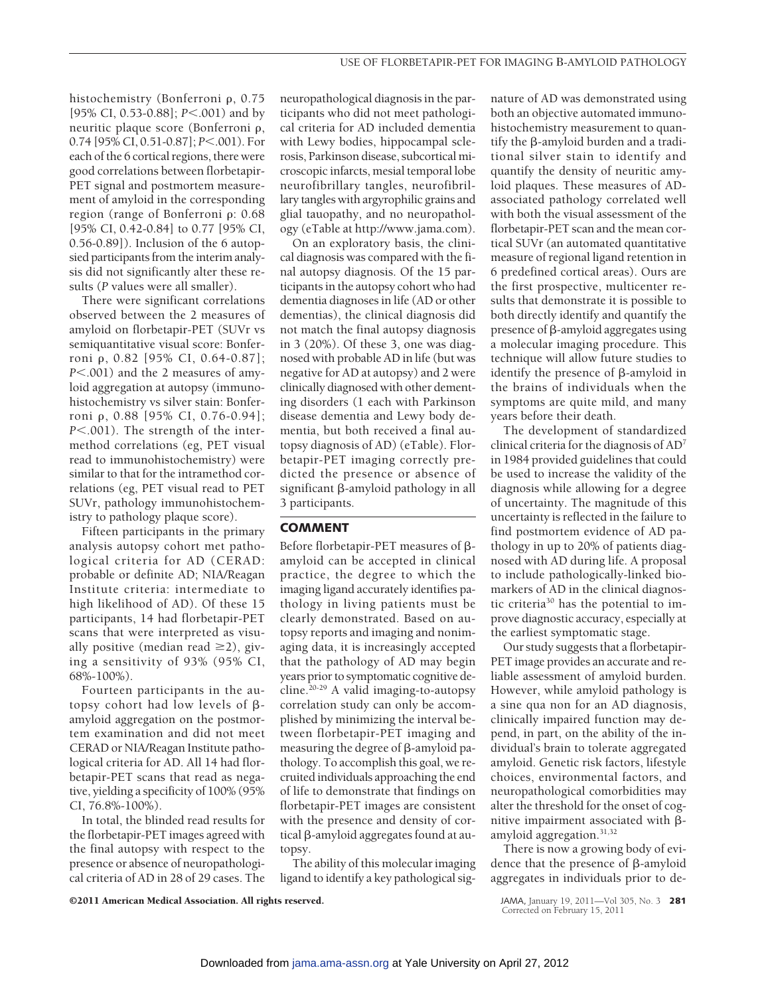histochemistry (Bonferroni  $\rho$ , 0.75 [95% CI, 0.53-0.88]; *P*<.001) and by neuritic plaque score (Bonferroni  $\rho$ , 0.74 [95% CI, 0.51-0.87]; *P*<.001). For each of the 6 cortical regions, there were good correlations between florbetapir-PET signal and postmortem measurement of amyloid in the corresponding region (range of Bonferroni  $\rho$ : 0.68 [95% CI, 0.42-0.84] to 0.77 [95% CI, 0.56-0.89]). Inclusion of the 6 autopsied participants from the interim analysis did not significantly alter these results (*P* values were all smaller).

There were significant correlations observed between the 2 measures of amyloid on florbetapir-PET (SUVr vs semiquantitative visual score: Bonferroni p, 0.82 [95% CI, 0.64-0.87]; *P*.001) and the 2 measures of amyloid aggregation at autopsy (immunohistochemistry vs silver stain: Bonferroni p, 0.88 [95% CI, 0.76-0.94]; *P*<.001). The strength of the intermethod correlations (eg, PET visual read to immunohistochemistry) were similar to that for the intramethod correlations (eg, PET visual read to PET SUVr, pathology immunohistochemistry to pathology plaque score).

Fifteen participants in the primary analysis autopsy cohort met pathological criteria for AD (CERAD: probable or definite AD; NIA/Reagan Institute criteria: intermediate to high likelihood of AD). Of these 15 participants, 14 had florbetapir-PET scans that were interpreted as visually positive (median read  $\geq$ 2), giving a sensitivity of 93% (95% CI, 68%-100%).

Fourteen participants in the autopsy cohort had low levels of  $\beta$ amyloid aggregation on the postmortem examination and did not meet CERAD or NIA/Reagan Institute pathological criteria for AD. All 14 had florbetapir-PET scans that read as negative, yielding a specificity of 100% (95% CI, 76.8%-100%).

In total, the blinded read results for the florbetapir-PET images agreed with the final autopsy with respect to the presence or absence of neuropathological criteria of AD in 28 of 29 cases. The

neuropathological diagnosis in the participants who did not meet pathological criteria for AD included dementia with Lewy bodies, hippocampal sclerosis, Parkinson disease, subcortical microscopic infarcts, mesial temporal lobe neurofibrillary tangles, neurofibrillary tangles with argyrophilic grains and glial tauopathy, and no neuropathology (eTable at http://www.jama.com).

On an exploratory basis, the clinical diagnosis was compared with the final autopsy diagnosis. Of the 15 participants in the autopsy cohort who had dementia diagnoses in life (AD or other dementias), the clinical diagnosis did not match the final autopsy diagnosis in 3 (20%). Of these 3, one was diagnosed with probable AD in life (but was negative for AD at autopsy) and 2 were clinically diagnosed with other dementing disorders (1 each with Parkinson disease dementia and Lewy body dementia, but both received a final autopsy diagnosis of AD) (eTable). Florbetapir-PET imaging correctly predicted the presence or absence of significant ß-amyloid pathology in all 3 participants.

#### **COMMENT**

Before florbetapir-PET measures of  $\beta$ amyloid can be accepted in clinical practice, the degree to which the imaging ligand accurately identifies pathology in living patients must be clearly demonstrated. Based on autopsy reports and imaging and nonimaging data, it is increasingly accepted that the pathology of AD may begin years prior to symptomatic cognitive decline.20-29 A valid imaging-to-autopsy correlation study can only be accomplished by minimizing the interval between florbetapir-PET imaging and  $measuring$  the degree of  $\beta$ -amyloid pathology. To accomplish this goal, we recruited individuals approaching the end of life to demonstrate that findings on florbetapir-PET images are consistent with the presence and density of cortical  $\beta$ -amyloid aggregates found at autopsy.

The ability of this molecular imaging ligand to identify a key pathological sig-

nature of AD was demonstrated using both an objective automated immunohistochemistry measurement to quantify the  $\beta$ -amyloid burden and a traditional silver stain to identify and quantify the density of neuritic amyloid plaques. These measures of ADassociated pathology correlated well with both the visual assessment of the florbetapir-PET scan and the mean cortical SUVr (an automated quantitative measure of regional ligand retention in 6 predefined cortical areas). Ours are the first prospective, multicenter results that demonstrate it is possible to both directly identify and quantify the presence of  $\beta$ -amyloid aggregates using a molecular imaging procedure. This technique will allow future studies to identify the presence of  $\beta$ -amyloid in the brains of individuals when the symptoms are quite mild, and many years before their death.

The development of standardized clinical criteria for the diagnosis of AD7 in 1984 provided guidelines that could be used to increase the validity of the diagnosis while allowing for a degree of uncertainty. The magnitude of this uncertainty is reflected in the failure to find postmortem evidence of AD pathology in up to 20% of patients diagnosed with AD during life. A proposal to include pathologically-linked biomarkers of AD in the clinical diagnostic criteria30 has the potential to improve diagnostic accuracy, especially at the earliest symptomatic stage.

Our study suggests that a florbetapir-PET image provides an accurate and reliable assessment of amyloid burden. However, while amyloid pathology is a sine qua non for an AD diagnosis, clinically impaired function may depend, in part, on the ability of the individual's brain to tolerate aggregated amyloid. Genetic risk factors, lifestyle choices, environmental factors, and neuropathological comorbidities may alter the threshold for the onset of cognitive impairment associated with  $\beta$ amyloid aggregation.31,32

There is now a growing body of evidence that the presence of  $\beta$ -amyloid aggregates in individuals prior to de-

©2011 American Medical Association. All rights reserved. JAMA, January 19, 2011—Vol 305, No. 3 **281**

Corrected on February 15, 2011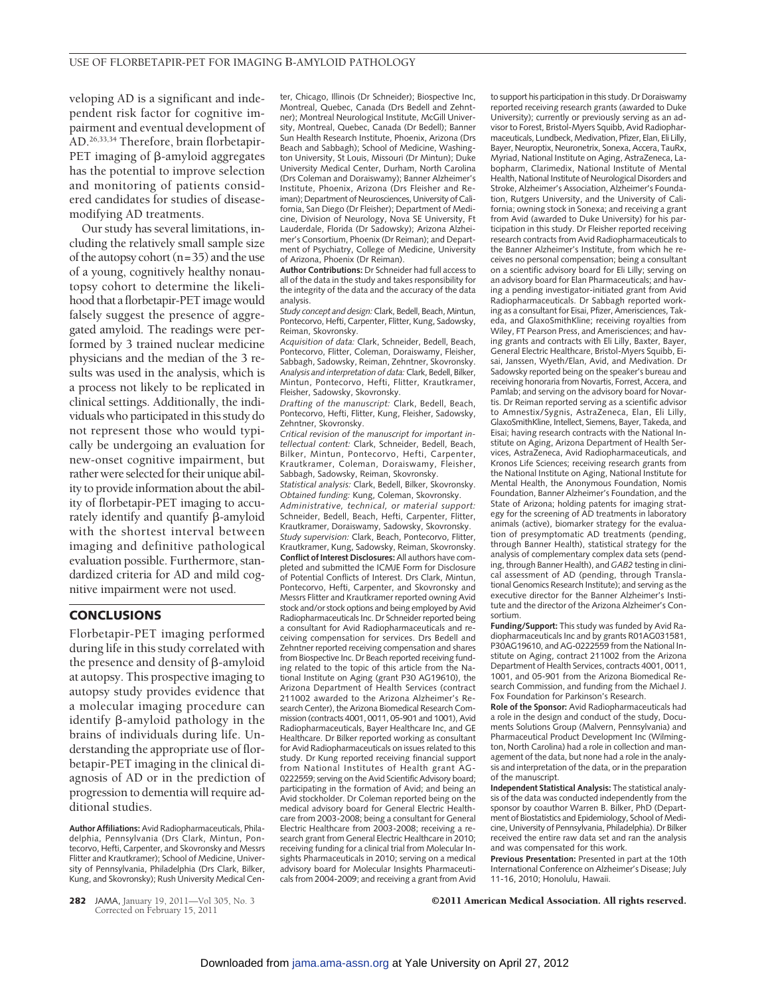veloping AD is a significant and independent risk factor for cognitive impairment and eventual development of AD.26,33,34 Therefore, brain florbetapir- $PET$  imaging of  $\beta$ -amyloid aggregates has the potential to improve selection and monitoring of patients considered candidates for studies of diseasemodifying AD treatments.

Our study has several limitations, including the relatively small sample size of the autopsy cohort  $(n=35)$  and the use of a young, cognitively healthy nonautopsy cohort to determine the likelihood that a florbetapir-PET image would falsely suggest the presence of aggregated amyloid. The readings were performed by 3 trained nuclear medicine physicians and the median of the 3 results was used in the analysis, which is a process not likely to be replicated in clinical settings. Additionally, the individuals who participated in this study do not represent those who would typically be undergoing an evaluation for new-onset cognitive impairment, but rather were selected for their unique ability to provide information about the ability of florbetapir-PET imaging to accurately identify and quantify  $\beta$ -amyloid with the shortest interval between imaging and definitive pathological evaluation possible. Furthermore, standardized criteria for AD and mild cognitive impairment were not used.

## **CONCLUSIONS**

Florbetapir-PET imaging performed during life in this study correlated with the presence and density of  $\beta$ -amyloid at autopsy. This prospective imaging to autopsy study provides evidence that a molecular imaging procedure can identify  $\beta$ -amyloid pathology in the brains of individuals during life. Understanding the appropriate use of florbetapir-PET imaging in the clinical diagnosis of AD or in the prediction of progression to dementia will require additional studies.

**Author Affiliations:** Avid Radiopharmaceuticals, Philadelphia, Pennsylvania (Drs Clark, Mintun, Pontecorvo, Hefti, Carpenter, and Skovronsky and Messrs Flitter and Krautkramer); School of Medicine, University of Pennsylvania, Philadelphia (Drs Clark, Bilker, Kung, and Skovronsky); Rush University Medical Center, Chicago, Illinois (Dr Schneider); Biospective Inc, Montreal, Quebec, Canada (Drs Bedell and Zehntner); Montreal Neurological Institute, McGill University, Montreal, Quebec, Canada (Dr Bedell); Banner Sun Health Research Institute, Phoenix, Arizona (Drs Beach and Sabbagh); School of Medicine, Washington University, St Louis, Missouri (Dr Mintun); Duke University Medical Center, Durham, North Carolina (Drs Coleman and Doraiswamy); Banner Alzheimer's Institute, Phoenix, Arizona (Drs Fleisher and Reiman); Department of Neurosciences, University of California, San Diego (Dr Fleisher); Department of Medicine, Division of Neurology, Nova SE University, Ft Lauderdale, Florida (Dr Sadowsky); Arizona Alzheimer's Consortium, Phoenix (Dr Reiman); and Department of Psychiatry, College of Medicine, University of Arizona, Phoenix (Dr Reiman).

**Author Contributions:** Dr Schneider had full access to all of the data in the study and takes responsibility for the integrity of the data and the accuracy of the data analysis.

*Study concept and design:*Clark, Bedell, Beach, Mintun, Pontecorvo, Hefti, Carpenter, Flitter, Kung, Sadowsky, Reiman, Skovronsky.

*Acquisition of data:* Clark, Schneider, Bedell, Beach, Pontecorvo, Flitter, Coleman, Doraiswamy, Fleisher, Sabbagh, Sadowsky, Reiman, Zehntner, Skovronsky. *Analysis and interpretation of data:*Clark, Bedell, Bilker, Mintun, Pontecorvo, Hefti, Flitter, Krautkramer, Fleisher, Sadowsky, Skovronsky.

*Drafting of the manuscript:* Clark, Bedell, Beach, Pontecorvo, Hefti, Flitter, Kung, Fleisher, Sadowsky, Zehntner, Skovronsky.

*Critical revision of the manuscript for important intellectual content:* Clark, Schneider, Bedell, Beach, Bilker, Mintun, Pontecorvo, Hefti, Carpenter, Krautkramer, Coleman, Doraiswamy, Fleisher, Sabbagh, Sadowsky, Reiman, Skovronsky. *Statistical analysis:* Clark, Bedell, Bilker, Skovronsky.

*Obtained funding:* Kung, Coleman, Skovronsky. *Administrative, technical, or material support:* Schneider, Bedell, Beach, Hefti, Carpenter, Flitter, Krautkramer, Doraiswamy, Sadowsky, Skovronsky. *Study supervision:* Clark, Beach, Pontecorvo, Flitter, Krautkramer, Kung, Sadowsky, Reiman, Skovronsky. **Conflict of Interest Disclosures:** All authors have completed and submitted the ICMJE Form for Disclosure of Potential Conflicts of Interest. Drs Clark, Mintun, Pontecorvo, Hefti, Carpenter, and Skovronsky and Messrs Flitter and Krautkramer reported owning Avid stock and/or stock options and being employed by Avid Radiopharmaceuticals Inc. Dr Schneider reported being a consultant for Avid Radiopharmaceuticals and receiving compensation for services. Drs Bedell and Zehntner reported receiving compensation and shares from Biospective Inc. Dr Beach reported receiving funding related to the topic of this article from the National Institute on Aging (grant P30 AG19610), the Arizona Department of Health Services (contract 211002 awarded to the Arizona Alzheimer's Research Center), the Arizona Biomedical Research Commission (contracts 4001, 0011, 05-901 and 1001), Avid Radiopharmaceuticals, Bayer Healthcare Inc, and GE Healthcare. Dr Bilker reported working as consultant for Avid Radiopharmaceuticals on issues related to this study. Dr Kung reported receiving financial support from National Institutes of Health grant AG-0222559; serving on the Avid Scientific Advisory board; participating in the formation of Avid; and being an Avid stockholder. Dr Coleman reported being on the medical advisory board for General Electric Healthcare from 2003-2008; being a consultant for General Electric Healthcare from 2003-2008; receiving a research grant from General Electric Healthcare in 2010; receiving funding for a clinical trial from Molecular Insights Pharmaceuticals in 2010; serving on a medical advisory board for Molecular Insights Pharmaceuticals from 2004-2009; and receiving a grant from Avid to support his participation in this study. Dr Doraiswamy reported receiving research grants (awarded to Duke University); currently or previously serving as an advisor to Forest, Bristol-Myers Squibb, Avid Radiopharmaceuticals, Lundbeck, Medivation, Pfizer, Elan, Eli Lilly, Bayer, Neuroptix, Neuronetrix, Sonexa, Accera, TauRx, Myriad, National Institute on Aging, AstraZeneca, Labopharm, Clarimedix, National Institute of Mental Health, National Institute of Neurological Disorders and Stroke, Alzheimer's Association, Alzheimer's Foundation, Rutgers University, and the University of California; owning stock in Sonexa; and receiving a grant from Avid (awarded to Duke University) for his participation in this study. Dr Fleisher reported receiving research contracts from Avid Radiopharmaceuticals to the Banner Alzheimer's Institute, from which he receives no personal compensation; being a consultant on a scientific advisory board for Eli Lilly; serving on an advisory board for Elan Pharmaceuticals; and having a pending investigator-initiated grant from Avid Radiopharmaceuticals. Dr Sabbagh reported working as a consultant for Eisai, Pfizer, Amerisciences, Takeda, and GlaxoSmithKline; receiving royalties from Wiley, FT Pearson Press, and Amerisciences; and having grants and contracts with Eli Lilly, Baxter, Bayer, General Electric Healthcare, Bristol-Myers Squibb, Eisai, Janssen, Wyeth/Elan, Avid, and Medivation. Dr Sadowsky reported being on the speaker's bureau and receiving honoraria from Novartis, Forrest, Accera, and Pamlab; and serving on the advisory board for Novartis. Dr Reiman reported serving as a scientific advisor to Amnestix/Sygnis, AstraZeneca, Elan, Eli Lilly, GlaxoSmithKline, Intellect, Siemens, Bayer, Takeda, and Eisai; having research contracts with the National Institute on Aging, Arizona Department of Health Services, AstraZeneca, Avid Radiopharmaceuticals, and Kronos Life Sciences; receiving research grants from the National Institute on Aging, National Institute for Mental Health, the Anonymous Foundation, Nomis Foundation, Banner Alzheimer's Foundation, and the State of Arizona; holding patents for imaging strategy for the screening of AD treatments in laboratory animals (active), biomarker strategy for the evaluation of presymptomatic AD treatments (pending, through Banner Health), statistical strategy for the analysis of complementary complex data sets (pending, through Banner Health), and *GAB2* testing in clinical assessment of AD (pending, through Translational Genomics Research Institute); and serving as the executive director for the Banner Alzheimer's Institute and the director of the Arizona Alzheimer's Consortium.

**Funding/Support:** This study was funded by Avid Radiopharmaceuticals Inc and by grants R01AG031581, P30AG19610, and AG-0222559 from the National Institute on Aging, contract 211002 from the Arizona Department of Health Services, contracts 4001, 0011, 1001, and 05-901 from the Arizona Biomedical Research Commission, and funding from the Michael J. Fox Foundation for Parkinson's Research.

**Role of the Sponsor:** Avid Radiopharmaceuticals had a role in the design and conduct of the study, Documents Solutions Group (Malvern, Pennsylvania) and Pharmaceutical Product Development Inc (Wilmington, North Carolina) had a role in collection and management of the data, but none had a role in the analysis and interpretation of the data, or in the preparation of the manuscript.

**Independent Statistical Analysis:** The statistical analysis of the data was conducted independently from the sponsor by coauthor Warren B. Bilker, PhD (Department of Biostatistics and Epidemiology, School of Medicine, University of Pennsylvania, Philadelphia). Dr Bilker received the entire raw data set and ran the analysis and was compensated for this work.

**Previous Presentation:** Presented in part at the 10th International Conference on Alzheimer's Disease; July 11-16, 2010; Honolulu, Hawaii.

**282** JAMA, January 19, 2011—Vol 305, No. 3 **CALL American Medical Association. All rights reserved.** 

Corrected on February 15, 2011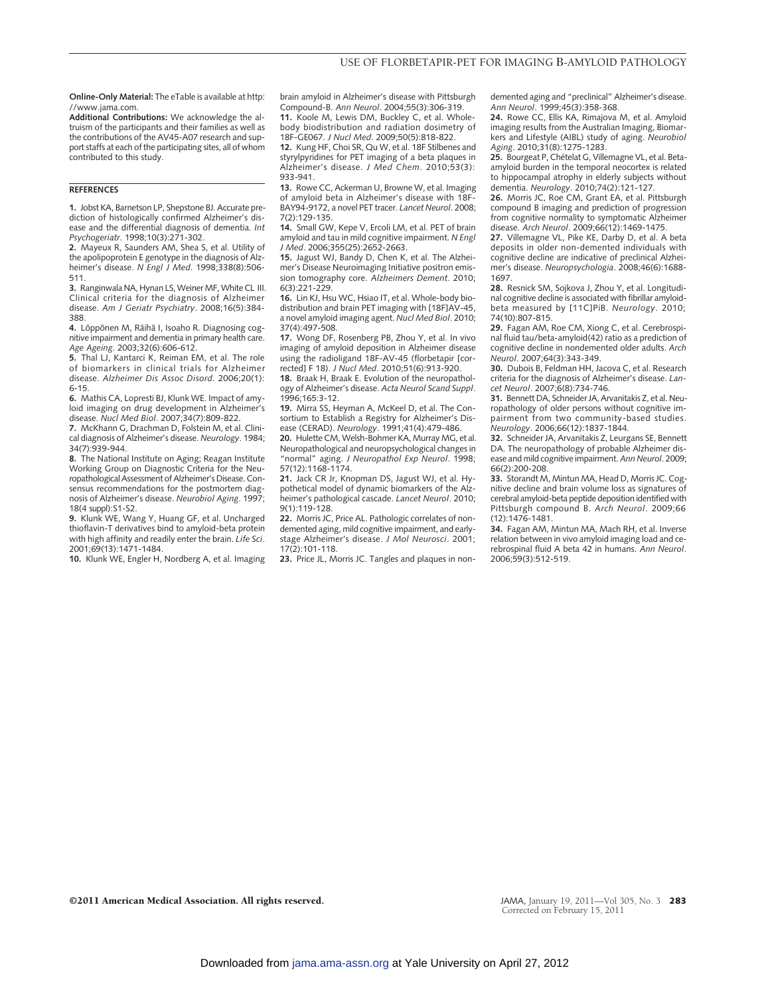**Online-Only Material:** The eTable is available at http: //www.jama.com.

**Additional Contributions:** We acknowledge the altruism of the participants and their families as well as the contributions of the AV45-A07 research and support staffs at each of the participating sites, all of whom contributed to this study.

#### **REFERENCES**

**1.** Jobst KA, Barnetson LP, Shepstone BJ. Accurate prediction of histologically confirmed Alzheimer's disease and the differential diagnosis of dementia. *Int Psychogeriatr*. 1998;10(3):271-302.

**2.** Mayeux R, Saunders AM, Shea S, et al. Utility of the apolipoprotein E genotype in the diagnosis of Alzheimer's disease. *N Engl J Med*. 1998;338(8):506- 511.

3. Ranginwala NA, Hynan LS, Weiner MF, White CL III. Clinical criteria for the diagnosis of Alzheimer disease. *Am J Geriatr Psychiatry*. 2008;16(5):384- 388.

**4.** Löppönen M, Räihä I, Isoaho R. Diagnosing cognitive impairment and dementia in primary health care. *Age Ageing*. 2003;32(6):606-612.

**5.** Thal LJ, Kantarci K, Reiman EM, et al. The role of biomarkers in clinical trials for Alzheimer disease. *Alzheimer Dis Assoc Disord*. 2006;20(1): 6-15.

**6.** Mathis CA, Lopresti BJ, Klunk WE. Impact of amyloid imaging on drug development in Alzheimer's disease. *Nucl Med Biol*. 2007;34(7):809-822.

**7.** McKhann G, Drachman D, Folstein M, et al. Clinical diagnosis of Alzheimer's disease. *Neurology*. 1984; 34(7):939-944.

**8.** The National Institute on Aging; Reagan Institute Working Group on Diagnostic Criteria for the Neuropathological Assessment of Alzheimer's Disease. Consensus recommendations for the postmortem diagnosis of Alzheimer's disease. *Neurobiol Aging*. 1997; 18(4 suppl):S1-S2.

**9.** Klunk WE, Wang Y, Huang GF, et al. Uncharged thioflavin-T derivatives bind to amyloid-beta protein with high affinity and readily enter the brain. *Life Sci*. 2001;69(13):1471-1484.

**10.** Klunk WE, Engler H, Nordberg A, et al. Imaging

brain amyloid in Alzheimer's disease with Pittsburgh Compound-B. *Ann Neurol*. 2004;55(3):306-319.

**11.** Koole M, Lewis DM, Buckley C, et al. Wholebody biodistribution and radiation dosimetry of 18F-GE067. *J Nucl Med*. 2009;50(5):818-822.

**12.** Kung HF, Choi SR, Qu W, et al. 18F Stilbenes and styrylpyridines for PET imaging of a beta plaques in Alzheimer's disease. *J Med Chem*. 2010;53(3): 933-941.

**13.** Rowe CC, Ackerman U, Browne W, et al. Imaging of amyloid beta in Alzheimer's disease with 18F-BAY94-9172, a novel PET tracer. *Lancet Neurol*. 2008; 7(2):129-135.

**14.** Small GW, Kepe V, Ercoli LM, et al. PET of brain amyloid and tau in mild cognitive impairment. *N Engl J Med*. 2006;355(25):2652-2663.

**15.** Jagust WJ, Bandy D, Chen K, et al. The Alzheimer's Disease Neuroimaging Initiative positron emission tomography core. *Alzheimers Dement*. 2010; 6(3):221-229.

**16.** Lin KJ, Hsu WC, Hsiao IT, et al. Whole-body biodistribution and brain PET imaging with [18F]AV-45, a novel amyloid imaging agent. *Nucl Med Biol*. 2010; 37(4):497-508.

**17.** Wong DF, Rosenberg PB, Zhou Y, et al. In vivo imaging of amyloid deposition in Alzheimer disease using the radioligand 18F-AV-45 (florbetapir [corrected] F 18). *J Nucl Med*. 2010;51(6):913-920.

**18.** Braak H, Braak E. Evolution of the neuropathology of Alzheimer's disease. *Acta Neurol Scand Suppl*. 1996;165:3-12.

**19.** Mirra SS, Heyman A, McKeel D, et al. The Consortium to Establish a Registry for Alzheimer's Disease (CERAD). *Neurology*. 1991;41(4):479-486.

**20.** Hulette CM, Welsh-Bohmer KA, Murray MG, et al. Neuropathological and neuropsychological changes in "normal" aging. *J Neuropathol Exp Neurol*. 1998; 57(12):1168-1174.

**21.** Jack CR Jr, Knopman DS, Jagust WJ, et al. Hypothetical model of dynamic biomarkers of the Alzheimer's pathological cascade. *Lancet Neurol*. 2010; 9(1):119-128.

**22.** Morris JC, Price AL. Pathologic correlates of nondemented aging, mild cognitive impairment, and earlystage Alzheimer's disease. *J Mol Neurosci*. 2001; 17(2):101-118.

**23.** Price JL, Morris JC. Tangles and plaques in non-

demented aging and "preclinical" Alzheimer's disease. *Ann Neurol*. 1999;45(3):358-368.

**24.** Rowe CC, Ellis KA, Rimajova M, et al. Amyloid imaging results from the Australian Imaging, Biomarkers and Lifestyle (AIBL) study of aging. *Neurobiol Aging*. 2010;31(8):1275-1283.

25. Bourgeat P, Chételat G, Villemagne VL, et al. Betaamyloid burden in the temporal neocortex is related to hippocampal atrophy in elderly subjects without dementia. *Neurology*. 2010;74(2):121-127.

**26.** Morris JC, Roe CM, Grant EA, et al. Pittsburgh compound B imaging and prediction of progression from cognitive normality to symptomatic Alzheimer disease. *Arch Neurol*. 2009;66(12):1469-1475.

**27.** Villemagne VL, Pike KE, Darby D, et al. A beta deposits in older non-demented individuals with cognitive decline are indicative of preclinical Alzheimer's disease. *Neuropsychologia*. 2008;46(6):1688- 1697.

**28.** Resnick SM, Sojkova J, Zhou Y, et al. Longitudinal cognitive decline is associated with fibrillar amyloidbeta measured by [11C]PiB. *Neurology*. 2010; 74(10):807-815.

**29.** Fagan AM, Roe CM, Xiong C, et al. Cerebrospinal fluid tau/beta-amyloid(42) ratio as a prediction of cognitive decline in nondemented older adults. *Arch Neurol*. 2007;64(3):343-349.

**30.** Dubois B, Feldman HH, Jacova C, et al. Research criteria for the diagnosis of Alzheimer's disease. *Lancet Neurol*. 2007;6(8):734-746.

**31.** Bennett DA, Schneider JA, Arvanitakis Z, et al. Neuropathology of older persons without cognitive impairment from two community-based studies. *Neurology*. 2006;66(12):1837-1844.

**32.** Schneider JA, Arvanitakis Z, Leurgans SE, Bennett DA. The neuropathology of probable Alzheimer disease and mild cognitive impairment. *Ann Neurol*. 2009; 66(2):200-208.

**33.** Storandt M, Mintun MA, Head D, Morris JC. Cognitive decline and brain volume loss as signatures of cerebral amyloid-beta peptide deposition identified with Pittsburgh compound B. *Arch Neurol*. 2009;66 (12):1476-1481.

**34.** Fagan AM, Mintun MA, Mach RH, et al. Inverse relation between in vivo amyloid imaging load and cerebrospinal fluid A beta 42 in humans. *Ann Neurol*. 2006;59(3):512-519.